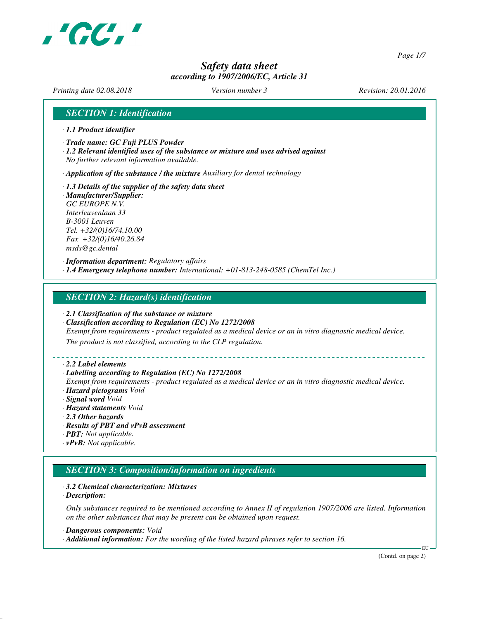

*Page 1/7*

# *Safety data sheet according to 1907/2006/EC, Article 31*

*Printing date 02.08.2018 Version number 3 Revision: 20.01.2016*

# *SECTION 1: Identification*

- *· 1.1 Product identifier*
- *· Trade name: GC Fuji PLUS Powder*
- *· 1.2 Relevant identified uses of the substance or mixture and uses advised against No further relevant information available.*

*· Application of the substance / the mixture Auxiliary for dental technology*

*· 1.3 Details of the supplier of the safety data sheet · Manufacturer/Supplier: GC EUROPE N.V. Interleuvenlaan 33 B-3001 Leuven Tel. +32/(0)16/74.10.00 Fax +32/(0)16/40.26.84 msds@gc.dental*

*· Information department: Regulatory affairs · 1.4 Emergency telephone number: International: +01-813-248-0585 (ChemTel Inc.)*

# *SECTION 2: Hazard(s) identification*

- *· 2.1 Classification of the substance or mixture*
- *· Classification according to Regulation (EC) No 1272/2008*

*Exempt from requirements - product regulated as a medical device or an in vitro diagnostic medical device.*

*The product is not classified, according to the CLP regulation.*

### *· 2.2 Label elements*

### *· Labelling according to Regulation (EC) No 1272/2008*

*Exempt from requirements - product regulated as a medical device or an in vitro diagnostic medical device. · Hazard pictograms Void*

- *· Signal word Void*
- *· Hazard statements Void*
- *· 2.3 Other hazards*
- *· Results of PBT and vPvB assessment*
- *· PBT: Not applicable.*
- *· vPvB: Not applicable.*

# *SECTION 3: Composition/information on ingredients*

### *· 3.2 Chemical characterization: Mixtures*

*· Description:*

*Only substances required to be mentioned according to Annex II of regulation 1907/2006 are listed. Information on the other substances that may be present can be obtained upon request.*

*· Dangerous components: Void*

*· Additional information: For the wording of the listed hazard phrases refer to section 16.*

(Contd. on page 2)

EU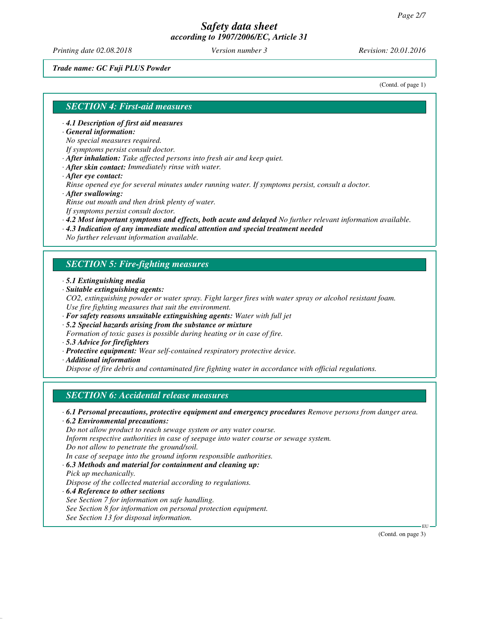*Printing date 02.08.2018 Version number 3 Revision: 20.01.2016*

*Trade name: GC Fuji PLUS Powder*

(Contd. of page 1)

## *SECTION 4: First-aid measures*

*· 4.1 Description of first aid measures*

*· General information:*

*No special measures required.*

*If symptoms persist consult doctor.*

*· After inhalation: Take affected persons into fresh air and keep quiet.*

- *· After skin contact: Immediately rinse with water.*
- *· After eye contact:*

*Rinse opened eye for several minutes under running water. If symptoms persist, consult a doctor. · After swallowing:*

*Rinse out mouth and then drink plenty of water.*

*If symptoms persist consult doctor.*

- *· 4.2 Most important symptoms and effects, both acute and delayed No further relevant information available.*
- *· 4.3 Indication of any immediate medical attention and special treatment needed*

*No further relevant information available.*

# *SECTION 5: Fire-fighting measures*

- *· 5.1 Extinguishing media*
- *· Suitable extinguishing agents:*
- *CO2, extinguishing powder or water spray. Fight larger fires with water spray or alcohol resistant foam. Use fire fighting measures that suit the environment.*
- *· For safety reasons unsuitable extinguishing agents: Water with full jet*
- *· 5.2 Special hazards arising from the substance or mixture*
- *Formation of toxic gases is possible during heating or in case of fire.*
- *· 5.3 Advice for firefighters*
- *· Protective equipment: Wear self-contained respiratory protective device.*
- *· Additional information*

*Dispose of fire debris and contaminated fire fighting water in accordance with official regulations.*

# *SECTION 6: Accidental release measures*

*· 6.1 Personal precautions, protective equipment and emergency procedures Remove persons from danger area.*

*· 6.2 Environmental precautions:*

*Do not allow product to reach sewage system or any water course.*

*Inform respective authorities in case of seepage into water course or sewage system.*

*Do not allow to penetrate the ground/soil.*

*In case of seepage into the ground inform responsible authorities.*

*· 6.3 Methods and material for containment and cleaning up:*

- *Pick up mechanically. Dispose of the collected material according to regulations.*
- *· 6.4 Reference to other sections See Section 7 for information on safe handling. See Section 8 for information on personal protection equipment. See Section 13 for disposal information.*

(Contd. on page 3)

EU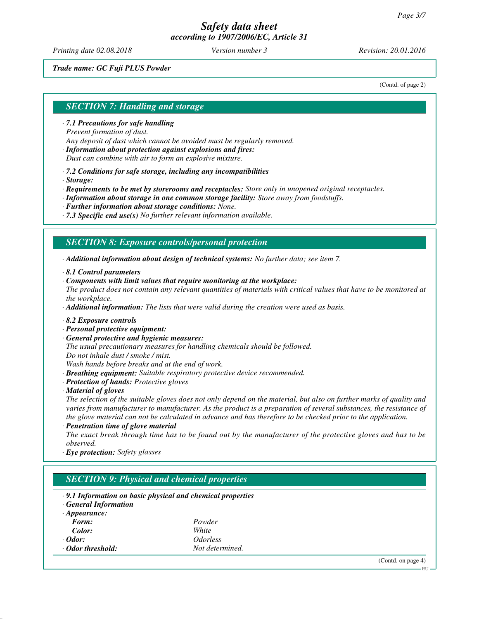*Printing date 02.08.2018 Version number 3 Revision: 20.01.2016*

## *Trade name: GC Fuji PLUS Powder*

(Contd. of page 2)

# *SECTION 7: Handling and storage*

- *· 7.1 Precautions for safe handling Prevent formation of dust. Any deposit of dust which cannot be avoided must be regularly removed.*
- *· Information about protection against explosions and fires: Dust can combine with air to form an explosive mixture.*
- *· 7.2 Conditions for safe storage, including any incompatibilities*
- *· Storage:*

*· Requirements to be met by storerooms and receptacles: Store only in unopened original receptacles.*

- *· Information about storage in one common storage facility: Store away from foodstuffs.*
- *· Further information about storage conditions: None.*
- *· 7.3 Specific end use(s) No further relevant information available.*

# *SECTION 8: Exposure controls/personal protection*

*· Additional information about design of technical systems: No further data; see item 7.*

- *· 8.1 Control parameters*
- *· Components with limit values that require monitoring at the workplace:*
- *The product does not contain any relevant quantities of materials with critical values that have to be monitored at the workplace.*

*· Additional information: The lists that were valid during the creation were used as basis.*

- *· 8.2 Exposure controls*
- *· Personal protective equipment:*
- *· General protective and hygienic measures:*

*The usual precautionary measures for handling chemicals should be followed. Do not inhale dust / smoke / mist.*

*Wash hands before breaks and at the end of work.*

- *· Breathing equipment: Suitable respiratory protective device recommended.*
- *· Protection of hands: Protective gloves*
- *· Material of gloves*

*The selection of the suitable gloves does not only depend on the material, but also on further marks of quality and varies from manufacturer to manufacturer. As the product is a preparation of several substances, the resistance of the glove material can not be calculated in advance and has therefore to be checked prior to the application.*

*· Penetration time of glove material*

*The exact break through time has to be found out by the manufacturer of the protective gloves and has to be observed.*

*· Eye protection: Safety glasses*

# *SECTION 9: Physical and chemical properties*

- *· 9.1 Information on basic physical and chemical properties*
- *· General Information*

| $\cdot$ Appearance: |                        |
|---------------------|------------------------|
| Form:               | Powder                 |
| Color:              | White                  |
| $\cdot$ Odor:       | <i><b>Odorless</b></i> |
| ⋅ Odor threshold:   | Not determined.        |

(Contd. on page 4)

EU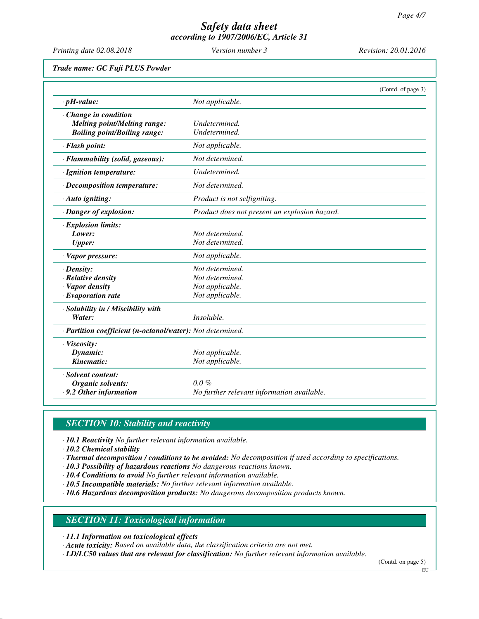*Printing date 02.08.2018 Version number 3 Revision: 20.01.2016*

*Trade name: GC Fuji PLUS Powder*

|                                     |                                                            | (Contd. of page 3) |
|-------------------------------------|------------------------------------------------------------|--------------------|
| $\cdot$ pH-value:                   | Not applicable.                                            |                    |
| Change in condition                 |                                                            |                    |
| <b>Melting point/Melting range:</b> | Undetermined.                                              |                    |
| <b>Boiling point/Boiling range:</b> | Undetermined.                                              |                    |
| · Flash point:                      | Not applicable.                                            |                    |
| · Flammability (solid, gaseous):    | Not determined.                                            |                    |
| · Ignition temperature:             | Undetermined.                                              |                    |
| $\cdot$ Decomposition temperature:  | Not determined.                                            |                    |
| · Auto igniting:                    | Product is not selfigniting.                               |                    |
| · Danger of explosion:              | Product does not present an explosion hazard.              |                    |
| $\cdot$ Explosion limits:           |                                                            |                    |
| Lower:                              | Not determined.                                            |                    |
| <b>Upper:</b>                       | Not determined.                                            |                    |
| · Vapor pressure:                   | Not applicable.                                            |                    |
| $\cdot$ Density:                    | Not determined.                                            |                    |
| $\cdot$ Relative density            | Not determined.                                            |                    |
| · Vapor density                     | Not applicable.                                            |                    |
| $\cdot$ Evaporation rate            | Not applicable.                                            |                    |
| · Solubility in / Miscibility with  |                                                            |                    |
| Water:                              | <i>Insoluble.</i>                                          |                    |
|                                     | · Partition coefficient (n-octanol/water): Not determined. |                    |
| · Viscosity:                        |                                                            |                    |
| Dynamic:                            | Not applicable.                                            |                    |
| Kinematic:                          | Not applicable.                                            |                    |
| · Solvent content:                  |                                                            |                    |
| Organic solvents:                   | $0.0\%$                                                    |                    |
| .9.2 Other information              | No further relevant information available.                 |                    |

# *SECTION 10: Stability and reactivity*

*· 10.1 Reactivity No further relevant information available.*

*· 10.2 Chemical stability*

- *· Thermal decomposition / conditions to be avoided: No decomposition if used according to specifications.*
- *· 10.3 Possibility of hazardous reactions No dangerous reactions known.*
- *· 10.4 Conditions to avoid No further relevant information available.*
- *· 10.5 Incompatible materials: No further relevant information available.*
- *· 10.6 Hazardous decomposition products: No dangerous decomposition products known.*

# *SECTION 11: Toxicological information*

*· 11.1 Information on toxicological effects*

*· Acute toxicity: Based on available data, the classification criteria are not met.*

*· LD/LC50 values that are relevant for classification: No further relevant information available.*

(Contd. on page 5)

EU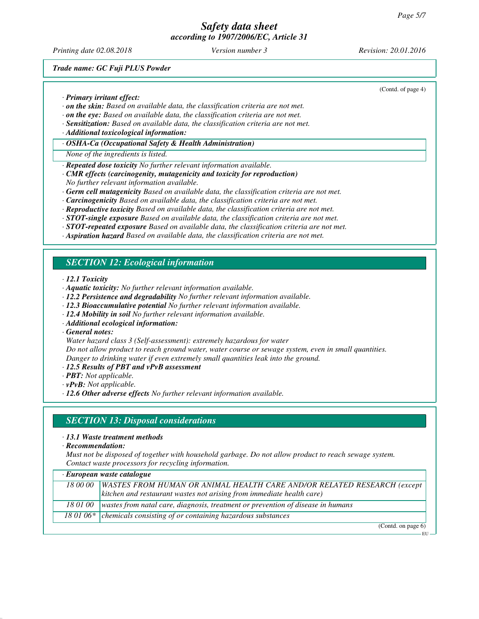*Printing date 02.08.2018 Version number 3 Revision: 20.01.2016*

(Contd. of page 4)

*Trade name: GC Fuji PLUS Powder*

*· Primary irritant effect:*

- *· on the skin: Based on available data, the classification criteria are not met.*
- *· on the eye: Based on available data, the classification criteria are not met.*
- *· Sensitization: Based on available data, the classification criteria are not met.*
- *· Additional toxicological information:*
- *· OSHA-Ca (Occupational Safety & Health Administration)*
- *None of the ingredients is listed.*
- *· Repeated dose toxicity No further relevant information available.*
- *· CMR effects (carcinogenity, mutagenicity and toxicity for reproduction)*
- *No further relevant information available.*
- *· Germ cell mutagenicity Based on available data, the classification criteria are not met.*
- *· Carcinogenicity Based on available data, the classification criteria are not met.*
- *· Reproductive toxicity Based on available data, the classification criteria are not met.*
- *· STOT-single exposure Based on available data, the classification criteria are not met.*
- *· STOT-repeated exposure Based on available data, the classification criteria are not met.*
- *· Aspiration hazard Based on available data, the classification criteria are not met.*

# *SECTION 12: Ecological information*

*· 12.1 Toxicity*

- *· Aquatic toxicity: No further relevant information available.*
- *· 12.2 Persistence and degradability No further relevant information available.*
- *· 12.3 Bioaccumulative potential No further relevant information available.*
- *· 12.4 Mobility in soil No further relevant information available.*
- *· Additional ecological information:*

*· General notes:*

*Water hazard class 3 (Self-assessment): extremely hazardous for water*

*Do not allow product to reach ground water, water course or sewage system, even in small quantities. Danger to drinking water if even extremely small quantities leak into the ground.*

- *· 12.5 Results of PBT and vPvB assessment*
- *· PBT: Not applicable.*
- *· vPvB: Not applicable.*
- *· 12.6 Other adverse effects No further relevant information available.*

# *SECTION 13: Disposal considerations*

- *· 13.1 Waste treatment methods*
- *· Recommendation:*

*Must not be disposed of together with household garbage. Do not allow product to reach sewage system. Contact waste processors for recycling information.*

| European waste catalogue |                                                                                 |
|--------------------------|---------------------------------------------------------------------------------|
| 18 00 00                 | <b>WASTES FROM HUMAN OR ANIMAL HEALTH CARE AND/OR RELATED RESEARCH (except</b>  |
|                          | kitchen and restaurant wastes not arising from immediate health care)           |
| 18 01 00                 | wastes from natal care, diagnosis, treatment or prevention of disease in humans |
|                          | 18 01 06 $*$ chemicals consisting of or containing hazardous substances         |

(Contd. on page 6) EU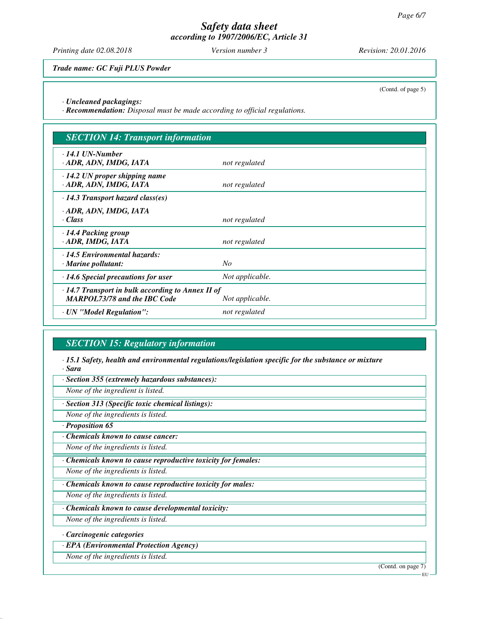*Printing date 02.08.2018 Version number 3 Revision: 20.01.2016*

*Trade name: GC Fuji PLUS Powder*

(Contd. of page 5)

*· Uncleaned packagings:*

*· Recommendation: Disposal must be made according to official regulations.*

| <b>SECTION 14: Transport information</b>                                                                          |                 |
|-------------------------------------------------------------------------------------------------------------------|-----------------|
| $\cdot$ 14.1 UN-Number<br>ADR, ADN, IMDG, IATA                                                                    | not regulated   |
| $\cdot$ 14.2 UN proper shipping name<br>ADR, ADN, IMDG, IATA                                                      | not regulated   |
| $\cdot$ 14.3 Transport hazard class(es)                                                                           |                 |
| · ADR, ADN, IMDG, IATA<br>$\cdot$ Class                                                                           | not regulated   |
| $\cdot$ 14.4 Packing group<br>· ADR, IMDG, IATA                                                                   | not regulated   |
| · 14.5 Environmental hazards:<br>$\cdot$ Marine pollutant:                                                        | $N_{O}$         |
| $\cdot$ 14.6 Special precautions for user                                                                         | Not applicable. |
| $\cdot$ 14.7 Transport in bulk according to Annex II of<br><b>MARPOL73/78 and the IBC Code</b><br>Not applicable. |                 |
| · UN "Model Regulation":                                                                                          | not regulated   |

# *SECTION 15: Regulatory information*

*· 15.1 Safety, health and environmental regulations/legislation specific for the substance or mixture · Sara*

*· Section 355 (extremely hazardous substances):*

*None of the ingredient is listed.*

*· Section 313 (Specific toxic chemical listings):*

*None of the ingredients is listed.*

*· Proposition 65*

*· Chemicals known to cause cancer:*

*None of the ingredients is listed.*

*· Chemicals known to cause reproductive toxicity for females:*

*None of the ingredients is listed.*

*· Chemicals known to cause reproductive toxicity for males:*

*None of the ingredients is listed.*

*· Chemicals known to cause developmental toxicity:*

*None of the ingredients is listed.*

*· Carcinogenic categories*

*· EPA (Environmental Protection Agency)*

*None of the ingredients is listed.*

(Contd. on page 7)

EU